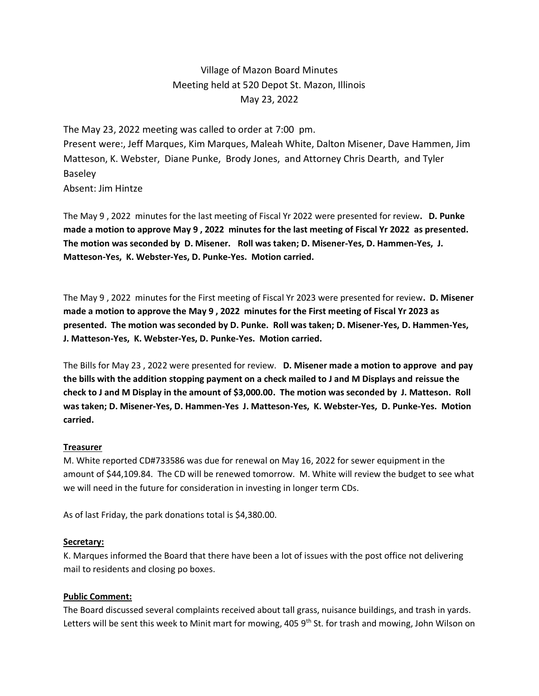# Village of Mazon Board Minutes Meeting held at 520 Depot St. Mazon, Illinois May 23, 2022

The May 23, 2022 meeting was called to order at 7:00 pm. Present were:, Jeff Marques, Kim Marques, Maleah White, Dalton Misener, Dave Hammen, Jim Matteson, K. Webster, Diane Punke, Brody Jones, and Attorney Chris Dearth, and Tyler Baseley Absent: Jim Hintze

The May 9 , 2022 minutes for the last meeting of Fiscal Yr 2022 were presented for review**. D. Punke made a motion to approve May 9 , 2022 minutes for the last meeting of Fiscal Yr 2022 as presented. The motion was seconded by D. Misener. Roll was taken; D. Misener-Yes, D. Hammen-Yes, J. Matteson-Yes, K. Webster-Yes, D. Punke-Yes. Motion carried.** 

The May 9 , 2022 minutes for the First meeting of Fiscal Yr 2023 were presented for review**. D. Misener made a motion to approve the May 9 , 2022 minutes for the First meeting of Fiscal Yr 2023 as presented. The motion was seconded by D. Punke. Roll was taken; D. Misener-Yes, D. Hammen-Yes, J. Matteson-Yes, K. Webster-Yes, D. Punke-Yes. Motion carried.** 

The Bills for May 23 , 2022 were presented for review. **D. Misener made a motion to approve and pay the bills with the addition stopping payment on a check mailed to J and M Displays and reissue the check to J and M Display in the amount of \$3,000.00. The motion was seconded by J. Matteson. Roll was taken; D. Misener-Yes, D. Hammen-Yes J. Matteson-Yes, K. Webster-Yes, D. Punke-Yes. Motion carried.** 

## **Treasurer**

M. White reported CD#733586 was due for renewal on May 16, 2022 for sewer equipment in the amount of \$44,109.84. The CD will be renewed tomorrow. M. White will review the budget to see what we will need in the future for consideration in investing in longer term CDs.

As of last Friday, the park donations total is \$4,380.00.

#### **Secretary:**

K. Marques informed the Board that there have been a lot of issues with the post office not delivering mail to residents and closing po boxes.

## **Public Comment:**

The Board discussed several complaints received about tall grass, nuisance buildings, and trash in yards. Letters will be sent this week to Minit mart for mowing, 405 9<sup>th</sup> St. for trash and mowing, John Wilson on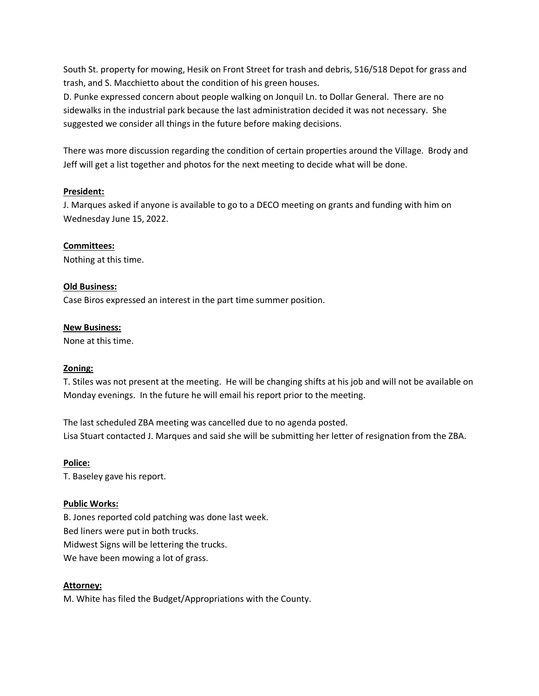South St. property for mowing, Hesik on Front Street for trash and debris, 516/518 Depot for grass and trash, and S. Macchietto about the condition of his green houses.

D. Punke expressed concern about people walking on Jonquil Ln. to Dollar General. There are no sidewalks in the industrial park because the last administration decided it was not necessary. She suggested we consider all things in the future before making decisions.

There was more discussion regarding the condition of certain properties around the Village. Brody and Jeff will get a list together and photos for the next meeting to decide what will be done.

### **President:**

J. Marques asked if anyone is available to go to a DECO meeting on grants and funding with him on Wednesday June 15, 2022.

### **Committees:**

Nothing at this time.

### **Old Business:**

Case Biros expressed an interest in the part time summer position.

### **New Business:**

None at this time.

## **Zoning:**

T. Stiles was not present at the meeting. He will be changing shifts at his job and will not be available on Monday evenings. In the future he will email his report prior to the meeting.

The last scheduled ZBA meeting was cancelled due to no agenda posted. Lisa Stuart contacted J. Marques and said she will be submitting her letter of resignation from the ZBA.

**Police:**

T. Baseley gave his report.

## **Public Works:**

B. Jones reported cold patching was done last week. Bed liners were put in both trucks. Midwest Signs will be lettering the trucks. We have been mowing a lot of grass.

## **Attorney:**

M. White has filed the Budget/Appropriations with the County.